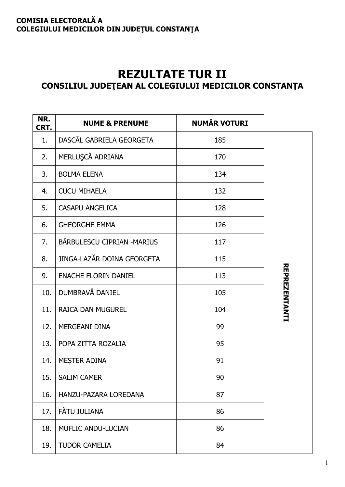## **COMISIA ELECTORALĂ A** COLEGIULUI MEDICILOR DIN JUDEȚUL CONSTANȚA

## **REZULTATE TUR II** CONSILIUL JUDEȚEAN AL COLEGIULUI MEDICILOR CONSTANȚA

| NR.<br>CRT. | <b>NUME &amp; PRENUME</b>   | <b>NUMĂR VOTURI</b> |                      |
|-------------|-----------------------------|---------------------|----------------------|
| 1.          | DASCĂL GABRIELA GEORGETA    | 185                 |                      |
| 2.          | MERLUŞCĂ ADRIANA            | 170                 |                      |
| 3.          | <b>BOLMA ELENA</b>          | 134                 |                      |
| 4.          | <b>CUCU MIHAELA</b>         | 132                 |                      |
| 5.          | <b>CASAPU ANGELICA</b>      | 128                 |                      |
| 6.          | <b>GHEORGHE EMMA</b>        | 126                 |                      |
| 7.          | BĂRBULESCU CIPRIAN - MARIUS | 117                 |                      |
| 8.          | JINGA-LAZĂR DOINA GEORGETA  | 115                 |                      |
| 9.          | <b>ENACHE FLORIN DANIEL</b> | 113                 | <b>REPREZENTANTI</b> |
| 10.         | DUMBRAVĂ DANIEL             | 105                 |                      |
| 11.         | <b>RAICA DAN MUGUREL</b>    | 104                 |                      |
| 12.         | <b>MERGEANI DINA</b>        | 99                  |                      |
| 13.         | POPA ZITTA ROZALIA          | 95                  |                      |
| 14.         | MESTER ADINA                | 91                  |                      |
| 15.         | <b>SALIM CAMER</b>          | 90                  |                      |
| 16.         | HANZU-PAZARA LOREDANA       | 87                  |                      |
| 17.         | FĂTU IULIANA                | 86                  |                      |
| 18.         | MUFLIC ANDU-LUCIAN          | 86                  |                      |
| 19.         | <b>TUDOR CAMELIA</b>        | 84                  |                      |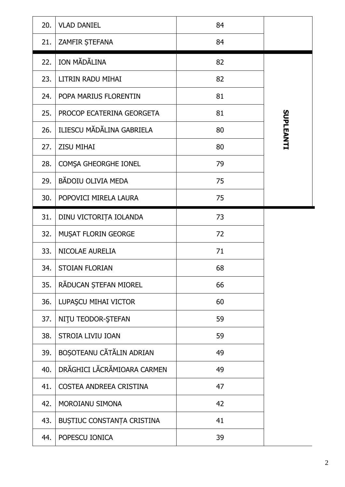| 20. | <b>VLAD DANIEL</b>          | 84 |                  |
|-----|-----------------------------|----|------------------|
| 21. | ZAMFIR ȘTEFANA              | 84 |                  |
| 22. | ION MĂDĂLINA                | 82 |                  |
| 23. | LITRIN RADU MIHAI           | 82 |                  |
| 24. | POPA MARIUS FLORENTIN       | 81 |                  |
| 25. | PROCOP ECATERINA GEORGETA   | 81 |                  |
| 26. | ILIESCU MĂDĂLINA GABRIELA   | 80 | <b>SUPLEANTI</b> |
| 27. | <b>ZISU MIHAI</b>           | 80 |                  |
| 28. | COMȘA GHEORGHE IONEL        | 79 |                  |
| 29. | BĂDOIU OLIVIA MEDA          | 75 |                  |
| 30. | POPOVICI MIRELA LAURA       | 75 |                  |
| 31. | DINU VICTORIȚA IOLANDA      | 73 |                  |
| 32. | <b>MUSAT FLORIN GEORGE</b>  | 72 |                  |
| 33. | NICOLAE AURELIA             | 71 |                  |
| 34. | <b>STOIAN FLORIAN</b>       | 68 |                  |
| 35. | RĂDUCAN ȘTEFAN MIOREL       | 66 |                  |
| 36. | LUPAŞCU MIHAI VICTOR        | 60 |                  |
| 37. | NITU TEODOR-STEFAN          | 59 |                  |
| 38. | <b>STROIA LIVIU IOAN</b>    | 59 |                  |
| 39. | BOȘOTEANU CĂTĂLIN ADRIAN    | 49 |                  |
| 40. | DRĂGHICI LĂCRĂMIOARA CARMEN | 49 |                  |
| 41. | COSTEA ANDREEA CRISTINA     | 47 |                  |
| 42. | MOROIANU SIMONA             | 42 |                  |
| 43. | BUȘTIUC CONSTANȚA CRISTINA  | 41 |                  |
| 44. | POPESCU IONICA              | 39 |                  |